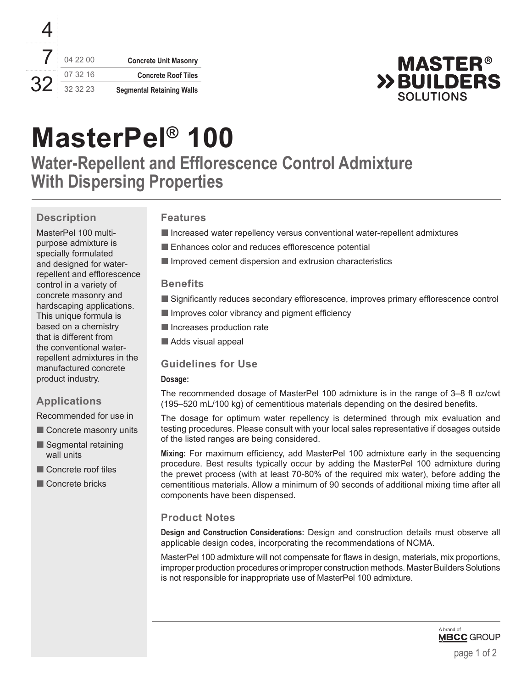| <b>Concrete Unit Masonry</b>     | 04 22 00 |  |
|----------------------------------|----------|--|
| <b>Concrete Roof Tiles</b>       | 07 32 16 |  |
| <b>Segmental Retaining Walls</b> | 32 32 23 |  |



# **MasterPel® 100**

**Water-Repellent and Efflorescence Control Admixture With Dispersing Properties**

# **Description**

MasterPel 100 multipurpose admixture is specially formulated and designed for waterrepellent and efflorescence control in a variety of concrete masonry and hardscaping applications. This unique formula is based on a chemistry that is different from the conventional waterrepellent admixtures in the manufactured concrete product industry.

## **Applications**

Recommended for use in

- Concrete masonry units
- Segmental retaining wall units
- Concrete roof tiles
- Concrete bricks

# **Features**

- Increased water repellency versus conventional water-repellent admixtures
- **Enhances color and reduces efflorescence potential**
- $\blacksquare$  Improved cement dispersion and extrusion characteristics

## **Benefits**

- Significantly reduces secondary efflorescence, improves primary efflorescence control
- $\blacksquare$  Improves color vibrancy and pigment efficiency
- Increases production rate
- Adds visual appeal

## **Guidelines for Use**

#### **Dosage:**

The recommended dosage of MasterPel 100 admixture is in the range of 3–8 fl oz/cwt (195–520 mL/100 kg) of cementitious materials depending on the desired benefits.

The dosage for optimum water repellency is determined through mix evaluation and testing procedures. Please consult with your local sales representative if dosages outside of the listed ranges are being considered.

**Mixing:** For maximum efficiency, add MasterPel 100 admixture early in the sequencing procedure. Best results typically occur by adding the MasterPel 100 admixture during the prewet process (with at least 70-80% of the required mix water), before adding the cementitious materials. Allow a minimum of 90 seconds of additional mixing time after all components have been dispensed.

## **Product Notes**

**Design and Construction Considerations:** Design and construction details must observe all applicable design codes, incorporating the recommendations of NCMA.

MasterPel 100 admixture will not compensate for flaws in design, materials, mix proportions, improper production procedures or improper construction methods. Master Builders Solutions is not responsible for inappropriate use of MasterPel 100 admixture.